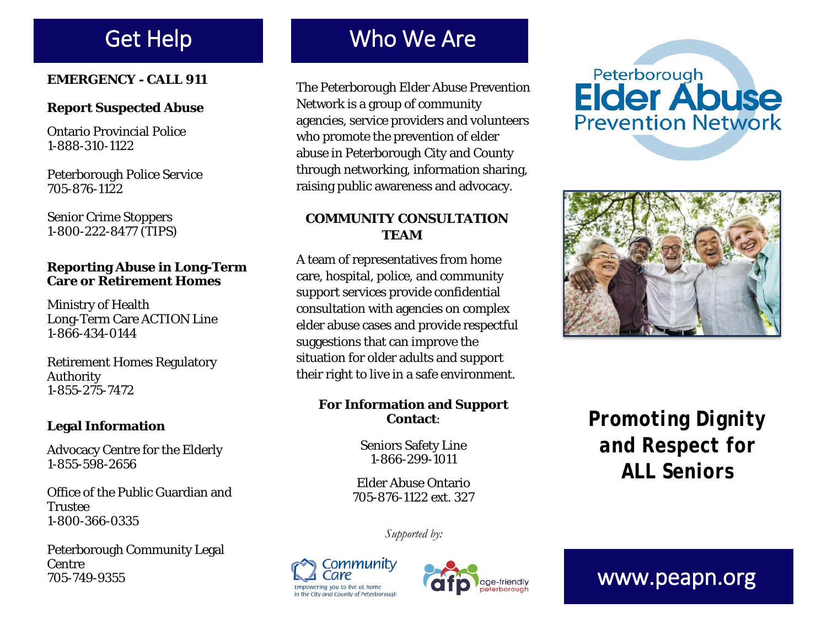### **EMERGENCY - CALL 911**

#### **Report Suspected Abuse**

Ontario Provincial Police 1-888-310-1122

Peterborough Police Service 705-876-1122

Senior Crime Stoppers 1-800-222-8477 (TIPS)

#### **Reporting Abuse in Long-Term Care or Retirement Homes**

Ministry of Health Long-Term Care ACTION Line 1-866-434-0144

Retirement Homes Regulatory Authority 1-855-275-7472

### **Legal Information**

Advocacy Centre for the Elderly 1-855-598-2656

Office of the Public Guardian and **Trustee** 1-800-366-0335

Peterborough Community Legal Centre 705-749-9355

# Get Help Who We Are

The Peterborough Elder Abuse Prevention Network is a group of community agencies, service providers and volunteers who promote the prevention of elder abuse in Peterborough City and County through networking, information sharing, raising public awareness and advocacy.

### **COMMUNITY CONSULTATION TEAM**

A team of representatives from home care, hospital, police, and community support services provide confidential consultation with agencies on complex elder abuse cases and provide respectful suggestions that can improve the situation for older adults and support their right to live in a safe environment.

#### **For Information and Support Contact**:

Seniors Safety Line 1-866-299-1011

Elder Abuse Ontario 705-876-1122 ext. 327

*Supported by:*





# Peterborough **Elder Abuse Prevention Network**



*Promoting Dignity and Respect for ALL Seniors*

www.peapn.org